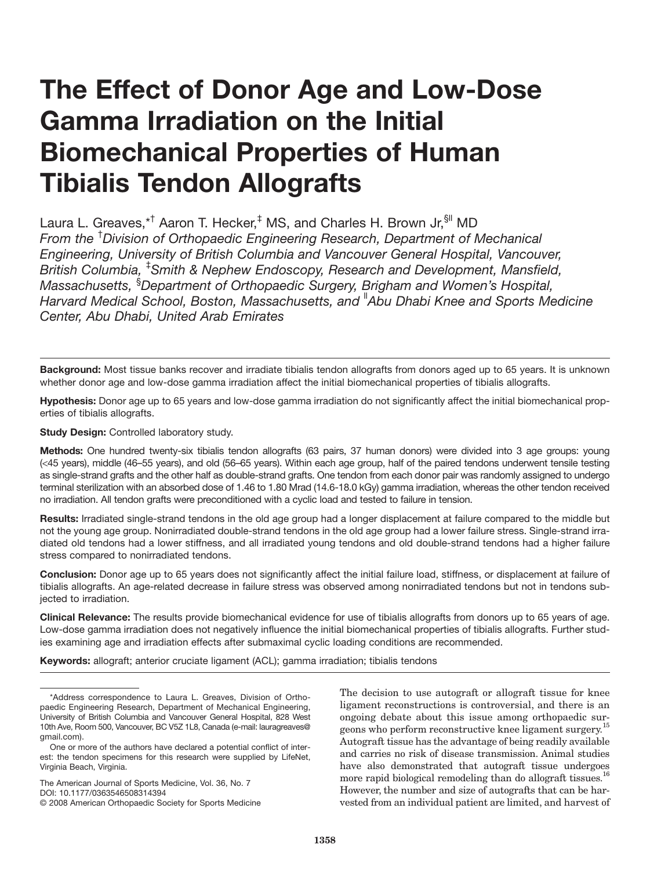# **The Effect of Donor Age and Low-Dose Gamma Irradiation on the Initial Biomechanical Properties of Human Tibialis Tendon Allografts**

Laura L. Greaves,\*<sup>†</sup> Aaron T. Hecker,<sup>‡</sup> MS, and Charles H. Brown Jr, SII MD From the <sup>†</sup>Division of Orthopaedic Engineering Research, Department of Mechanical Engineering, University of British Columbia and Vancouver General Hospital, Vancouver, British Columbia, <sup>‡</sup>Smith & Nephew Endoscopy, Research and Development, Mansfield, Massachusetts, <sup>§</sup>Department of Orthopaedic Surgery, Brigham and Women's Hospital, Harvard Medical School, Boston, Massachusetts, and "Abu Dhabi Knee and Sports Medicine Center, Abu Dhabi, United Arab Emirates

Background: Most tissue banks recover and irradiate tibialis tendon allografts from donors aged up to 65 years. It is unknown whether donor age and low-dose gamma irradiation affect the initial biomechanical properties of tibialis allografts.

Hypothesis: Donor age up to 65 years and low-dose gamma irradiation do not significantly affect the initial biomechanical properties of tibialis allografts.

Study Design: Controlled laboratory study.

Methods: One hundred twenty-six tibialis tendon allografts (63 pairs, 37 human donors) were divided into 3 age groups: young (<45 years), middle (46-55 years), and old (56-65 years). Within each age group, half of the paired tendons underwent tensile testing as single-strand grafts and the other half as double-strand grafts. One tendon from each donor pair was randomly assigned to undergo terminal sterilization with an absorbed dose of 1.46 to 1.80 Mrad (14.6-18.0 kGy) gamma irradiation, whereas the other tendon received no irradiation. All tendon grafts were preconditioned with a cyclic load and tested to failure in tension.

Results: Irradiated single-strand tendons in the old age group had a longer displacement at failure compared to the middle but not the young age group. Nonirradiated double-strand tendons in the old age group had a lower failure stress. Single-strand irradiated old tendons had a lower stiffness, and all irradiated young tendons and old double-strand tendons had a higher failure stress compared to nonirradiated tendons.

Conclusion: Donor age up to 65 years does not significantly affect the initial failure load, stiffness, or displacement at failure of tibialis allografts. An age-related decrease in failure stress was observed among nonirradiated tendons but not in tendons subjected to irradiation.

Clinical Relevance: The results provide biomechanical evidence for use of tibialis allografts from donors up to 65 years of age. Low-dose gamma irradiation does not negatively influence the initial biomechanical properties of tibialis allografts. Further studies examining age and irradiation effects after submaximal cyclic loading conditions are recommended.

Keywords: allograft; anterior cruciate ligament (ACL); gamma irradiation; tibialis tendons

The American Journal of Sports Medicine, Vol. 36, No. 7 DOI: 10 1177/0363546508314394

The decision to use autograft or allograft tissue for knee ligament reconstructions is controversial, and there is an ongoing debate about this issue among orthopaedic surgeons who perform reconstructive knee ligament surgery.<sup>15</sup> Autograft tissue has the advantage of being readily available and carries no risk of disease transmission. Animal studies have also demonstrated that autograft tissue undergoes more rapid biological remodeling than do allograft tissues.<sup>16</sup> However, the number and size of autografts that can be harvested from an individual patient are limited, and harvest of

<sup>\*</sup>Address correspondence to Laura L. Greaves, Division of Orthopaedic Engineering Research, Department of Mechanical Engineering, University of British Columbia and Vancouver General Hospital, 828 West 10th Ave, Room 500, Vancouver, BC V5Z 1L8, Canada (e-mail: lauragreaves@ amail.com).

One or more of the authors have declared a potential conflict of interest: the tendon specimens for this research were supplied by LifeNet, Virginia Beach, Virginia.

<sup>© 2008</sup> American Orthopaedic Society for Sports Medicine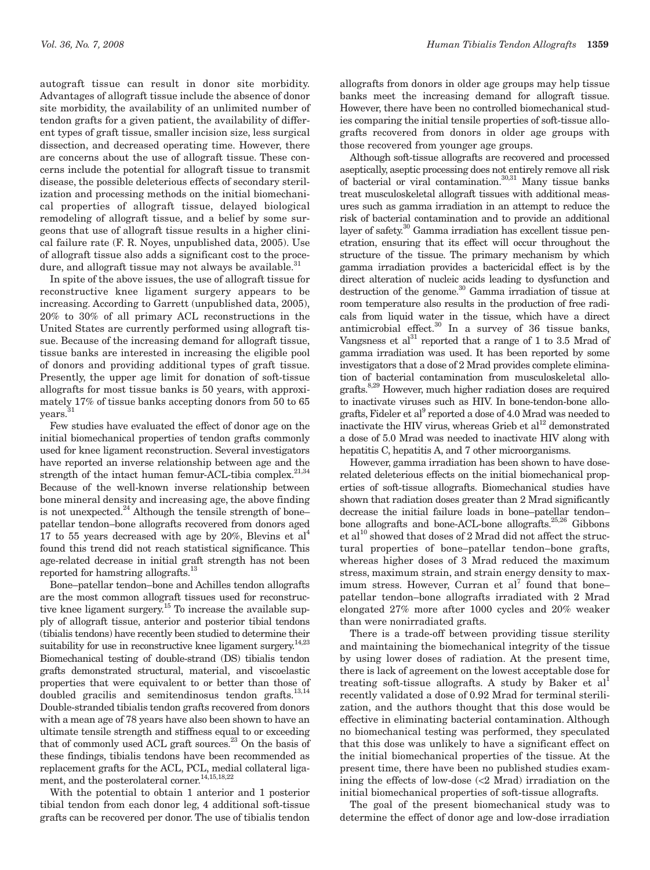autograft tissue can result in donor site morbidity. Advantages of allograft tissue include the absence of donor site morbidity, the availability of an unlimited number of tendon grafts for a given patient, the availability of different types of graft tissue, smaller incision size, less surgical dissection, and decreased operating time. However, there are concerns about the use of allograft tissue. These concerns include the potential for allograft tissue to transmit disease, the possible deleterious effects of secondary sterilization and processing methods on the initial biomechanical properties of allograft tissue, delayed biological remodeling of allograft tissue, and a belief by some surgeons that use of allograft tissue results in a higher clinical failure rate (F. R. Noyes, unpublished data, 2005). Use of allograft tissue also adds a significant cost to the proce-

dure, and allograft tissue may not always be available.<sup>31</sup> In spite of the above issues, the use of allograft tissue for reconstructive knee ligament surgery appears to be increasing. According to Garrett (unpublished data, 2005), 20% to 30% of all primary ACL reconstructions in the United States are currently performed using allograft tissue. Because of the increasing demand for allograft tissue, tissue banks are interested in increasing the eligible pool of donors and providing additional types of graft tissue. Presently, the upper age limit for donation of soft-tissue allografts for most tissue banks is 50 years, with approximately 17% of tissue banks accepting donors from 50 to 65 years.<sup>31</sup>

Few studies have evaluated the effect of donor age on the initial biomechanical properties of tendon grafts commonly used for knee ligament reconstruction. Several investigators have reported an inverse relationship between age and the strength of the intact human femur-ACL-tibia complex.<sup>21,34</sup> Because of the well-known inverse relationship between bone mineral density and increasing age, the above finding is not unexpected.<sup>24</sup> Although the tensile strength of bonepatellar tendon-bone allografts recovered from donors aged 17 to 55 years decreased with age by 20%, Blevins et al<sup>4</sup> found this trend did not reach statistical significance. This age-related decrease in initial graft strength has not been reported for hamstring allografts.<sup>13</sup>

Bone-patellar tendon-bone and Achilles tendon allografts are the most common allograft tissues used for reconstructive knee ligament surgery.<sup>15</sup> To increase the available supply of allograft tissue, anterior and posterior tibial tendons (tibialis tendons) have recently been studied to determine their suitability for use in reconstructive knee ligament surgery.<sup>14,23</sup> Biomechanical testing of double-strand (DS) tibialis tendon grafts demonstrated structural, material, and viscoelastic properties that were equivalent to or better than those of doubled gracilis and semitendinosus tendon grafts.<sup>13,14</sup> Double-stranded tibialis tendon grafts recovered from donors with a mean age of 78 years have also been shown to have an ultimate tensile strength and stiffness equal to or exceeding that of commonly used ACL graft sources.<sup>23</sup> On the basis of these findings, tibialis tendons have been recommended as replacement grafts for the ACL, PCL, medial collateral ligament, and the posterolateral corner.  $^{14,15,18,22}$ 

With the potential to obtain 1 anterior and 1 posterior tibial tendon from each donor leg, 4 additional soft-tissue grafts can be recovered per donor. The use of tibialis tendon

allografts from donors in older age groups may help tissue banks meet the increasing demand for allograft tissue. However, there have been no controlled biomechanical studies comparing the initial tensile properties of soft-tissue allografts recovered from donors in older age groups with those recovered from younger age groups.

Although soft-tissue allografts are recovered and processed as<br>eptically, aseptic processing does not entirely remove all risk of bacterial or viral contamination.<br> $^{30,31}$  Many tissue banks treat musculoskeletal allograft tissues with additional measures such as gamma irradiation in an attempt to reduce the risk of bacterial contamination and to provide an additional layer of safety.<sup>30</sup> Gamma irradiation has excellent tissue penetration, ensuring that its effect will occur throughout the structure of the tissue. The primary mechanism by which gamma irradiation provides a bactericidal effect is by the direct alteration of nucleic acids leading to dysfunction and destruction of the genome.<sup>30</sup> Gamma irradiation of tissue at room temperature also results in the production of free radicals from liquid water in the tissue, which have a direct antimicrobial effect.<sup>30</sup> In a survey of 36 tissue banks, Vangeness et al<sup>31</sup> reported that a range of 1 to 3.5 Mrad of gamma irradiation was used. It has been reported by some investigators that a dose of 2 Mrad provides complete elimination of bacterial contamination from musculoskeletal allografts.<sup>8,29</sup> However, much higher radiation doses are required to inactivate viruses such as HIV. In bone-tendon-bone allografts, Fideler et al<sup>9</sup> reported a dose of 4.0 Mrad was needed to inactivate the HIV virus, whereas Grieb et al<sup>12</sup> demonstrated a dose of 5.0 Mrad was needed to inactivate HIV along with hepatitis C, hepatitis A, and 7 other microorganisms.

However, gamma irradiation has been shown to have doserelated deleterious effects on the initial biomechanical properties of soft-tissue allografts. Biomechanical studies have shown that radiation doses greater than 2 Mrad significantly decrease the initial failure loads in bone-patellar tendonbone allografts and bone-ACL-bone allografts.<sup>25,26</sup> Gibbons et al<sup>10</sup> showed that doses of 2 Mrad did not affect the structural properties of bone-patellar tendon-bone grafts. whereas higher doses of 3 Mrad reduced the maximum stress, maximum strain, and strain energy density to maximum stress. However, Curran et al<sup>7</sup> found that bonepatellar tendon-bone allografts irradiated with 2 Mrad elongated 27% more after 1000 cycles and 20% weaker than were nonirradiated grafts.

There is a trade-off between providing tissue sterility and maintaining the biomechanical integrity of the tissue by using lower doses of radiation. At the present time, there is lack of agreement on the lowest acceptable dose for treating soft-tissue allografts. A study by Baker et al recently validated a dose of 0.92 Mrad for terminal sterilization, and the authors thought that this dose would be effective in eliminating bacterial contamination. Although no biomechanical testing was performed, they speculated that this dose was unlikely to have a significant effect on the initial biomechanical properties of the tissue. At the present time, there have been no published studies examining the effects of low-dose  $\langle 2 \text{ Mrad} \rangle$  irradiation on the initial biomechanical properties of soft-tissue allografts.

The goal of the present biomechanical study was to determine the effect of donor age and low-dose irradiation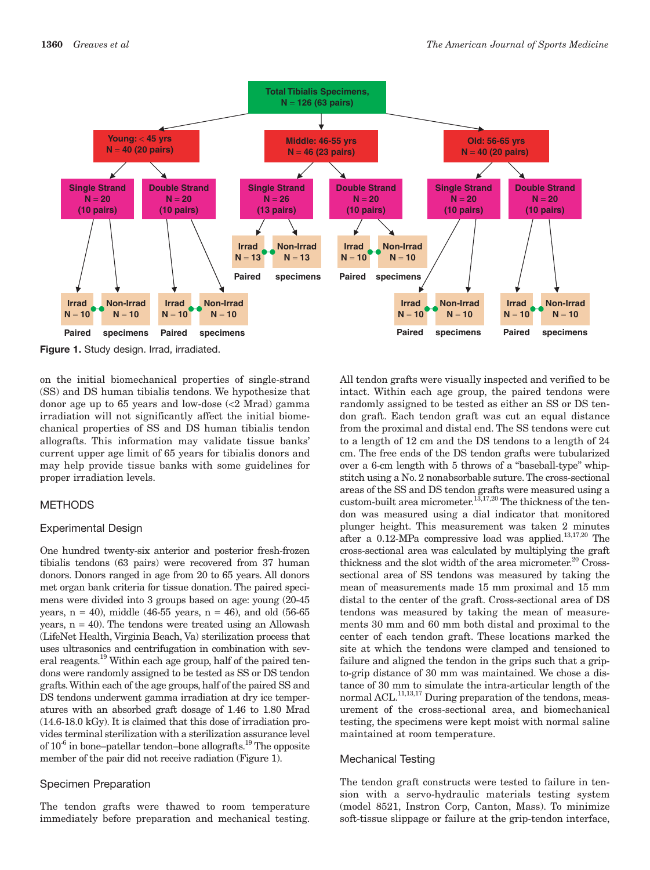

Figure 1. Study design. Irrad, irradiated.

on the initial biomechanical properties of single-strand (SS) and DS human tibialis tendons. We hypothesize that donor age up to 65 years and low-dose (<2 Mrad) gamma irradiation will not significantly affect the initial biomechanical properties of SS and DS human tibialis tendon allografts. This information may validate tissue banks' current upper age limit of 65 years for tibialis donors and may help provide tissue banks with some guidelines for proper irradiation levels.

# **METHODS**

# **Experimental Design**

One hundred twenty-six anterior and posterior fresh-frozen tibialis tendons (63 pairs) were recovered from 37 human donors. Donors ranged in age from 20 to 65 years. All donors met organ bank criteria for tissue donation. The paired specimens were divided into 3 groups based on age: young (20-45) years,  $n = 40$ , middle (46-55 years,  $n = 46$ ), and old (56-65) years,  $n = 40$ ). The tendons were treated using an Allowash (LifeNet Health, Virginia Beach, Va) sterilization process that uses ultrasonics and centrifugation in combination with several reagents.<sup>19</sup> Within each age group, half of the paired tendons were randomly assigned to be tested as SS or DS tendon grafts. Within each of the age groups, half of the paired SS and DS tendons underwent gamma irradiation at dry ice temperatures with an absorbed graft dosage of 1.46 to 1.80 Mrad  $(14.6-18.0 \text{ kGy})$ . It is claimed that this dose of irradiation provides terminal sterilization with a sterilization assurance level of  $10^{-6}$  in bone-patellar tendon-bone allografts.<sup>19</sup> The opposite member of the pair did not receive radiation (Figure 1).

# **Specimen Preparation**

The tendon grafts were thawed to room temperature immediately before preparation and mechanical testing. All tendon grafts were visually inspected and verified to be intact. Within each age group, the paired tendons were randomly assigned to be tested as either an SS or DS tendon graft. Each tendon graft was cut an equal distance from the proximal and distal end. The SS tendons were cut to a length of 12 cm and the DS tendons to a length of 24 cm. The free ends of the DS tendon grafts were tubularized over a 6-cm length with 5 throws of a "baseball-type" whipstitch using a No. 2 nonabsorbable suture. The cross-sectional areas of the SS and DS tendon grafts were measured using a custom-built area micrometer.<sup>13,17,20</sup> The thickness of the tendon was measured using a dial indicator that monitored plunger height. This measurement was taken 2 minutes after a 0.12-MPa compressive load was applied. $13,17,20$  The cross-sectional area was calculated by multiplying the graft thickness and the slot width of the area micrometer.<sup>20</sup> Crosssectional area of SS tendons was measured by taking the mean of measurements made 15 mm proximal and 15 mm distal to the center of the graft. Cross-sectional area of DS tendons was measured by taking the mean of measurements 30 mm and 60 mm both distal and proximal to the center of each tendon graft. These locations marked the site at which the tendons were clamped and tensioned to failure and aligned the tendon in the grips such that a gripto-grip distance of 30 mm was maintained. We chose a distance of 30 mm to simulate the intra-articular length of the normal ACL.<sup>11,13,17</sup> During preparation of the tendons, measurement of the cross-sectional area, and biomechanical testing, the specimens were kept moist with normal saline maintained at room temperature.

# **Mechanical Testing**

The tendon graft constructs were tested to failure in tension with a servo-hydraulic materials testing system (model 8521, Instron Corp, Canton, Mass). To minimize soft-tissue slippage or failure at the grip-tendon interface,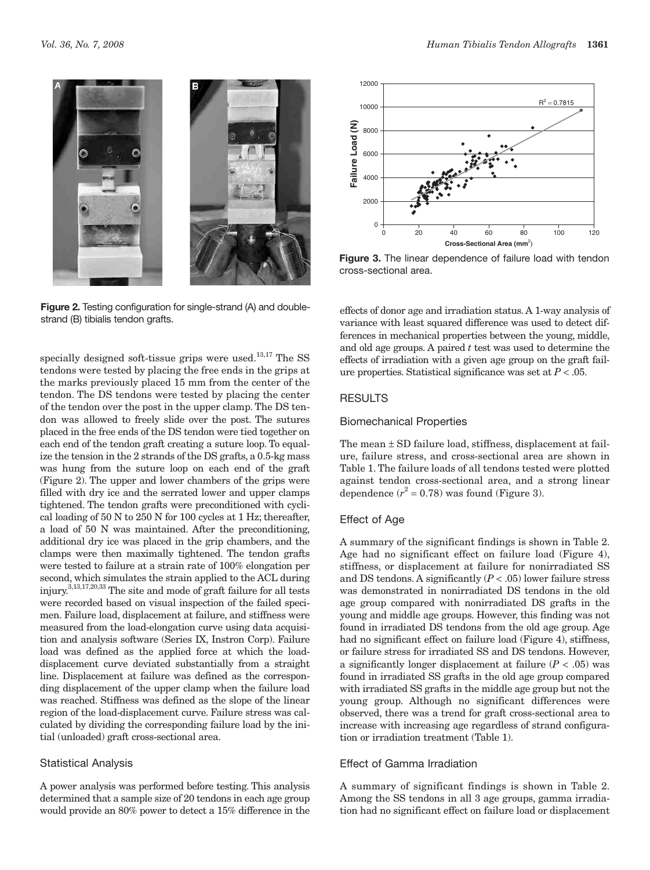

Figure 2. Testing configuration for single-strand (A) and doublestrand (B) tibialis tendon grafts.

specially designed soft-tissue grips were used. $^{13,17}$  The SS tendons were tested by placing the free ends in the grips at the marks previously placed 15 mm from the center of the tendon. The DS tendons were tested by placing the center of the tendon over the post in the upper clamp. The DS tendon was allowed to freely slide over the post. The sutures placed in the free ends of the DS tendon were tied together on each end of the tendon graft creating a suture loop. To equalize the tension in the 2 strands of the DS grafts, a 0.5-kg mass was hung from the suture loop on each end of the graft (Figure 2). The upper and lower chambers of the grips were filled with dry ice and the serrated lower and upper clamps tightened. The tendon grafts were preconditioned with cyclical loading of 50 N to 250 N for 100 cycles at 1 Hz; thereafter, a load of 50 N was maintained. After the preconditioning, additional dry ice was placed in the grip chambers, and the clamps were then maximally tightened. The tendon grafts were tested to failure at a strain rate of 100% elongation per second, which simulates the strain applied to the ACL during injury.<sup>3,13,17,20,33</sup> The site and mode of graft failure for all tests were recorded based on visual inspection of the failed specimen. Failure load, displacement at failure, and stiffness were measured from the load-elongation curve using data acquisition and analysis software (Series IX, Instron Corp). Failure load was defined as the applied force at which the loaddisplacement curve deviated substantially from a straight line. Displacement at failure was defined as the corresponding displacement of the upper clamp when the failure load was reached. Stiffness was defined as the slope of the linear region of the load-displacement curve. Failure stress was calculated by dividing the corresponding failure load by the initial (unloaded) graft cross-sectional area.

#### **Statistical Analysis**

A power analysis was performed before testing. This analysis determined that a sample size of 20 tendons in each age group would provide an 80% power to detect a 15% difference in the



**Figure 3.** The linear dependence of failure load with tendon cross-sectional area.

effects of donor age and irradiation status. A 1-way analysis of variance with least squared difference was used to detect differences in mechanical properties between the young, middle, and old age groups. A paired  $t$  test was used to determine the effects of irradiation with a given age group on the graft failure properties. Statistical significance was set at  $P < .05$ .

# **RESULTS**

#### **Biomechanical Properties**

The mean  $\pm$  SD failure load, stiffness, displacement at failure, failure stress, and cross-sectional area are shown in Table 1. The failure loads of all tendons tested were plotted against tendon cross-sectional area, and a strong linear dependence  $(r^2 = 0.78)$  was found (Figure 3).

# Effect of Age

A summary of the significant findings is shown in Table 2. Age had no significant effect on failure load (Figure 4), stiffness, or displacement at failure for nonirradiated SS and DS tendons. A significantly  $(P < .05)$  lower failure stress was demonstrated in nonirradiated DS tendons in the old age group compared with nonirradiated DS grafts in the young and middle age groups. However, this finding was not found in irradiated DS tendons from the old age group. Age had no significant effect on failure load (Figure 4), stiffness, or failure stress for irradiated SS and DS tendons. However, a significantly longer displacement at failure  $(P < .05)$  was found in irradiated SS grafts in the old age group compared with irradiated SS grafts in the middle age group but not the young group. Although no significant differences were observed, there was a trend for graft cross-sectional area to increase with increasing age regardless of strand configuration or irradiation treatment (Table 1).

# Effect of Gamma Irradiation

A summary of significant findings is shown in Table 2. Among the SS tendons in all 3 age groups, gamma irradiation had no significant effect on failure load or displacement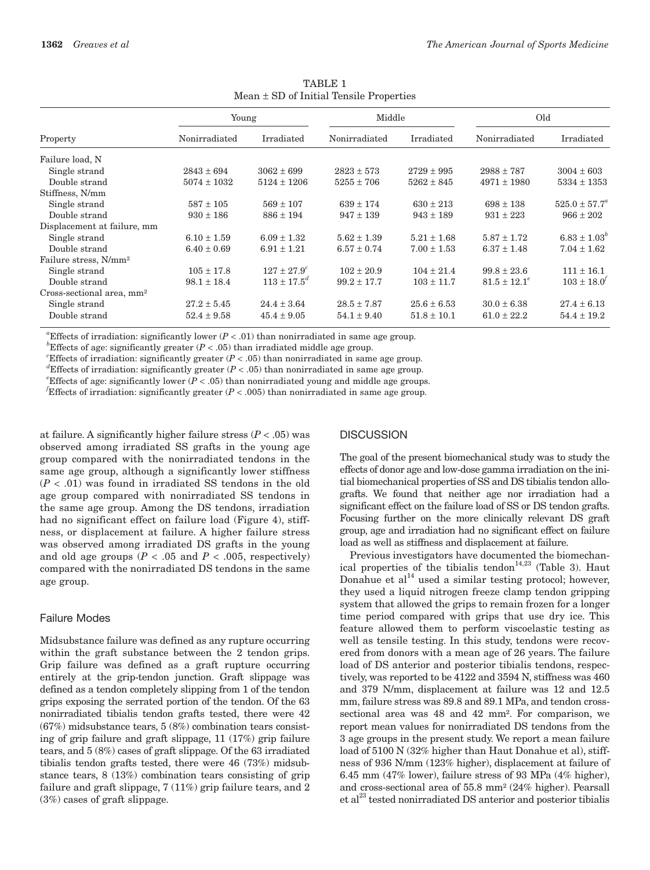| Property                              | Young           |                        | Middle          |                 | Old               |                        |
|---------------------------------------|-----------------|------------------------|-----------------|-----------------|-------------------|------------------------|
|                                       | Nonirradiated   | Irradiated             | Nonirradiated   | Irradiated      | Nonirradiated     | Irradiated             |
| Failure load, N                       |                 |                        |                 |                 |                   |                        |
| Single strand                         | $2843 \pm 694$  | $3062 \pm 699$         | $2823 \pm 573$  | $2729 \pm 995$  | $2988 \pm 787$    | $3004 \pm 603$         |
| Double strand                         | $5074 \pm 1032$ | $5124 \pm 1206$        | $5255 \pm 706$  | $5262 \pm 845$  | $4971 \pm 1980$   | $5334 \pm 1353$        |
| Stiffness, N/mm                       |                 |                        |                 |                 |                   |                        |
| Single strand                         | $587 \pm 105$   | $569 \pm 107$          | $639 \pm 174$   | $630 \pm 213$   | $698 \pm 138$     | $525.0 \pm 57.7^a$     |
| Double strand                         | $930 \pm 186$   | $886 \pm 194$          | $947 \pm 139$   | $943 \pm 189$   | $931 \pm 223$     | $966 \pm 202$          |
| Displacement at failure, mm           |                 |                        |                 |                 |                   |                        |
| Single strand                         | $6.10 \pm 1.59$ | $6.09 \pm 1.32$        | $5.62 \pm 1.39$ | $5.21 \pm 1.68$ | $5.87 \pm 1.72$   | $6.83 \pm 1.03^{o}$    |
| Double strand                         | $6.40 \pm 0.69$ | $6.91 \pm 1.21$        | $6.57 \pm 0.74$ | $7.00 \pm 1.53$ | $6.37 \pm 1.48$   | $7.04 \pm 1.62$        |
| Failure stress, N/mm <sup>2</sup>     |                 |                        |                 |                 |                   |                        |
| Single strand                         | $105 \pm 17.8$  | $127 \pm 27.9^c$       | $102 \pm 20.9$  | $104 \pm 21.4$  | $99.8 \pm 23.6$   | $111 \pm 16.1$         |
| Double strand                         | $98.1 \pm 18.4$ | $113 \pm 17.5^{\circ}$ | $99.2 \pm 17.7$ | $103 \pm 11.7$  | $81.5 \pm 12.1^e$ | $103 \pm 18.0^{\circ}$ |
| Cross-sectional area, mm <sup>2</sup> |                 |                        |                 |                 |                   |                        |
| Single strand                         | $27.2 \pm 5.45$ | $24.4 \pm 3.64$        | $28.5 \pm 7.87$ | $25.6 \pm 6.53$ | $30.0 \pm 6.38$   | $27.4 \pm 6.13$        |
| Double strand                         | $52.4 \pm 9.58$ | $45.4 \pm 9.05$        | $54.1 \pm 9.40$ | $51.8 \pm 10.1$ | $61.0 \pm 22.2$   | $54.4 \pm 19.2$        |

TABLE 1 Mean ± SD of Initial Tensile Properties

<sup>a</sup>Effects of irradiation: significantly lower ( $P < .01$ ) than nonirradiated in same age group.

<sup>b</sup>Effects of age: significantly greater ( $P < .05$ ) than irradiated middle age group.

*Effects* of irradiation: significantly greater  $(P < .05)$  than nonirradiated in same age group.

<sup>d</sup>Effects of irradiation: significantly greater ( $P < .05$ ) than nonirradiated in same age group.

*Effects* of age: significantly lower ( $P < .05$ ) than nonirradiated young and middle age groups.

Effects of irradiation: significantly greater  $(P < .005)$  than nonirradiated in same age group.

at failure. A significantly higher failure stress  $(P < .05)$  was observed among irradiated SS grafts in the young age group compared with the nonirradiated tendons in the same age group, although a significantly lower stiffness  $(P < .01)$  was found in irradiated SS tendons in the old age group compared with nonirradiated SS tendons in the same age group. Among the DS tendons, irradiation had no significant effect on failure load (Figure 4), stiffness, or displacement at failure. A higher failure stress was observed among irradiated DS grafts in the young and old age groups ( $P < .05$  and  $P < .005$ , respectively) compared with the nonirradiated DS tendons in the same age group.

# **Failure Modes**

Midsubstance failure was defined as any rupture occurring within the graft substance between the 2 tendon grips. Grip failure was defined as a graft rupture occurring entirely at the grip-tendon junction. Graft slippage was defined as a tendon completely slipping from 1 of the tendon grips exposing the serrated portion of the tendon. Of the 63 nonirradiated tibialis tendon grafts tested, there were 42  $(67%)$  midsubstance tears,  $5(8%)$  combination tears consisting of grip failure and graft slippage,  $11(17%)$  grip failure tears, and  $5(8\%)$  cases of graft slippage. Of the 63 irradiated tibialis tendon grafts tested, there were 46 (73%) midsubstance tears,  $8(13%)$  combination tears consisting of grip failure and graft slippage,  $7(11\%)$  grip failure tears, and 2  $(3\%)$  cases of graft slippage.

#### **DISCUSSION**

The goal of the present biomechanical study was to study the effects of donor age and low-dose gamma irradiation on the initial biomechanical properties of SS and DS tibialis tendon allografts. We found that neither age nor irradiation had a significant effect on the failure load of SS or DS tendon grafts. Focusing further on the more clinically relevant DS graft group, age and irradiation had no significant effect on failure load as well as stiffness and displacement at failure.

Previous investigators have documented the biomechanical properties of the tibialis tendon<sup>14,23</sup> (Table 3). Haut Donahue et al<sup>14</sup> used a similar testing protocol; however, they used a liquid nitrogen freeze clamp tendon gripping system that allowed the grips to remain frozen for a longer time period compared with grips that use dry ice. This feature allowed them to perform viscoelastic testing as well as tensile testing. In this study, tendons were recovered from donors with a mean age of 26 years. The failure load of DS anterior and posterior tibialis tendons, respectively, was reported to be 4122 and 3594 N, stiffness was 460 and 379 N/mm, displacement at failure was 12 and 12.5 mm, failure stress was 89.8 and 89.1 MPa, and tendon crosssectional area was 48 and 42 mm<sup>2</sup>. For comparison, we report mean values for nonirradiated DS tendons from the 3 age groups in the present study. We report a mean failure load of 5100 N (32% higher than Haut Donahue et al), stiffness of 936 N/mm (123% higher), displacement at failure of 6.45 mm (47% lower), failure stress of 93 MPa (4% higher), and cross-sectional area of 55.8 mm<sup>2</sup> (24% higher). Pearsall et al<sup>23</sup> tested nonirradiated DS anterior and posterior tibialis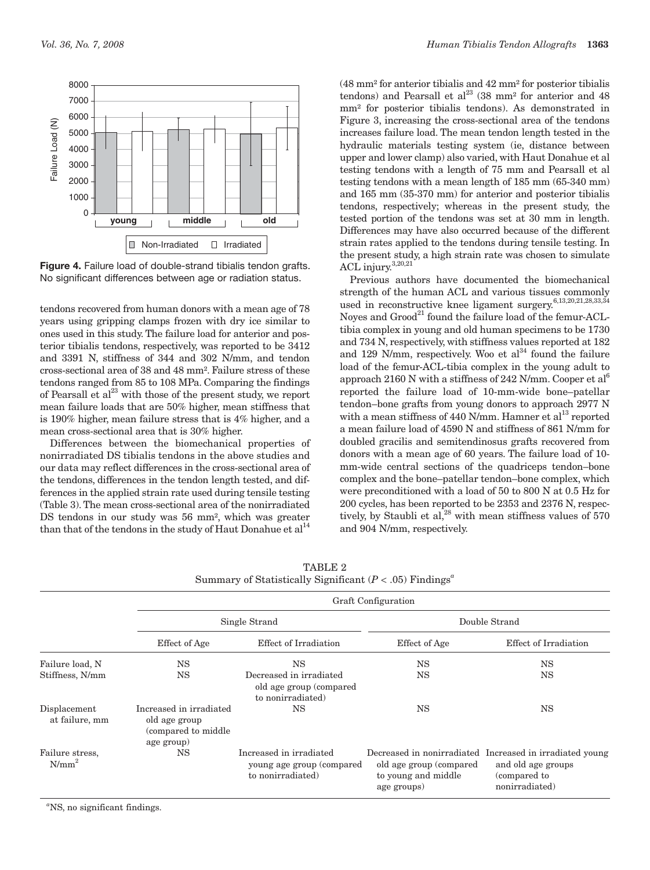

Figure 4. Failure load of double-strand tibialis tendon grafts. No significant differences between age or radiation status.

tendons recovered from human donors with a mean age of 78 years using gripping clamps frozen with dry ice similar to ones used in this study. The failure load for anterior and posterior tibialis tendons, respectively, was reported to be 3412 and 3391 N, stiffness of 344 and 302 N/mm, and tendon cross-sectional area of 38 and 48 mm<sup>2</sup>. Failure stress of these tendons ranged from 85 to 108 MPa. Comparing the findings of Pearsall et  $al^{23}$  with those of the present study, we report mean failure loads that are 50% higher, mean stiffness that is 190% higher, mean failure stress that is 4% higher, and a mean cross-sectional area that is 30% higher.

Differences between the biomechanical properties of nonirradiated DS tibialis tendons in the above studies and our data may reflect differences in the cross-sectional area of the tendons, differences in the tendon length tested, and differences in the applied strain rate used during tensile testing (Table 3). The mean cross-sectional area of the nonirradiated DS tendons in our study was 56 mm<sup>2</sup>, which was greater than that of the tendons in the study of Haut Donahue et  $al<sup>14</sup>$ 

 $(48 \text{ mm}^2 \text{ for anterior tibialis and } 42 \text{ mm}^2 \text{ for posterior tibialis}$ tendons) and Pearsall et  $al^{23}$  (38 mm<sup>2</sup> for anterior and 48 mm<sup>2</sup> for posterior tibialis tendons). As demonstrated in Figure 3, increasing the cross-sectional area of the tendons increases failure load. The mean tendon length tested in the hydraulic materials testing system (ie, distance between upper and lower clamp) also varied, with Haut Donahue et al testing tendons with a length of 75 mm and Pearsall et al testing tendons with a mean length of 185 mm (65-340 mm) and 165 mm (35-370 mm) for anterior and posterior tibialis tendons, respectively; whereas in the present study, the tested portion of the tendons was set at 30 mm in length. Differences may have also occurred because of the different strain rates applied to the tendons during tensile testing. In the present study, a high strain rate was chosen to simulate ACL injury.<sup>3,20,21</sup>

Previous authors have documented the biomechanical strength of the human ACL and various tissues commonly used in reconstructive knee ligament surgery.<sup>6,13,20,21,28,33,34</sup> Noyes and Grood<sup>21</sup> found the failure load of the femur-ACLtibia complex in young and old human specimens to be 1730 and 734 N, respectively, with stiffness values reported at 182 and 129 N/mm, respectively. Woo et  $al^{34}$  found the failure load of the femur-ACL-tibia complex in the young adult to approach 2160 N with a stiffness of 242 N/mm. Cooper et al<sup>6</sup> reported the failure load of 10-mm-wide bone-patellar tendon-bone grafts from young donors to approach 2977 N with a mean stiffness of 440 N/mm. Hamner et  $al<sup>13</sup>$  reported a mean failure load of 4590 N and stiffness of 861 N/mm for doubled gracilis and semitendinosus grafts recovered from donors with a mean age of 60 years. The failure load of 10mm-wide central sections of the quadriceps tendon-bone complex and the bone-patellar tendon-bone complex, which were preconditioned with a load of 50 to 800 N at 0.5 Hz for 200 cycles, has been reported to be 2353 and 2376 N, respectively, by Staubli et al,<sup>28</sup> with mean stiffness values of 570 and 904 N/mm, respectively.

| Summary of Statistically Significant ( $P < .05$ ) Findings <sup>a</sup> |                                                                                |                                                                            |                                                                |                                                                                                                  |  |  |  |  |
|--------------------------------------------------------------------------|--------------------------------------------------------------------------------|----------------------------------------------------------------------------|----------------------------------------------------------------|------------------------------------------------------------------------------------------------------------------|--|--|--|--|
|                                                                          | Graft Configuration                                                            |                                                                            |                                                                |                                                                                                                  |  |  |  |  |
|                                                                          |                                                                                | Single Strand                                                              | Double Strand                                                  |                                                                                                                  |  |  |  |  |
|                                                                          | Effect of Age                                                                  | Effect of Irradiation                                                      | Effect of Age                                                  | Effect of Irradiation                                                                                            |  |  |  |  |
| Failure load, N                                                          | <b>NS</b>                                                                      | <b>NS</b>                                                                  | <b>NS</b>                                                      | <b>NS</b>                                                                                                        |  |  |  |  |
| Stiffness, N/mm                                                          | NS                                                                             | Decreased in irradiated<br>old age group (compared)<br>to nonirradiated)   | <b>NS</b>                                                      | <b>NS</b>                                                                                                        |  |  |  |  |
| Displacement<br>at failure, mm                                           | Increased in irradiated<br>old age group<br>(compared to middle)<br>age group) | NS                                                                         | <b>NS</b>                                                      | <b>NS</b>                                                                                                        |  |  |  |  |
| Failure stress,<br>$N/mm^2$                                              | NS                                                                             | Increased in irradiated<br>young age group (compared)<br>to nonirradiated) | old age group (compared)<br>to young and middle<br>age groups) | Decreased in nonirradiated Increased in irradiated young<br>and old age groups<br>(compared to<br>nonirradiated) |  |  |  |  |

**TABLE 2** 

 $\mathrm{^{a}NS}$ , no significant findings.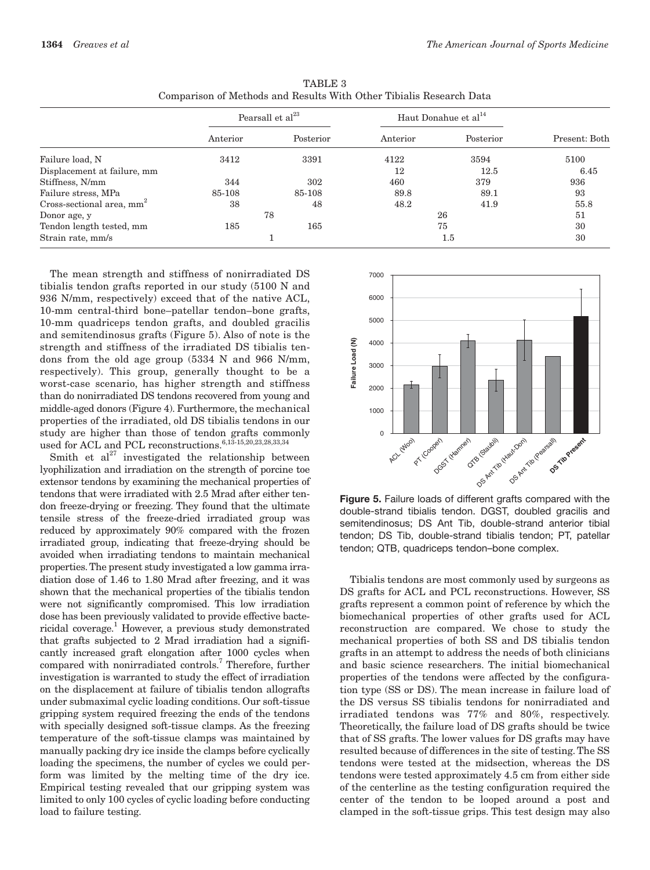|                                       | Pearsall et al <sup>23</sup> |           | Haut Donahue et al <sup>14</sup> |           |               |
|---------------------------------------|------------------------------|-----------|----------------------------------|-----------|---------------|
|                                       | Anterior                     | Posterior | Anterior                         | Posterior | Present: Both |
| Failure load, N                       | 3412                         | 3391      | 4122                             | 3594      | 5100          |
| Displacement at failure, mm           |                              |           | 12                               | 12.5      | 6.45          |
| Stiffness, N/mm                       | 344                          | 302       | 460                              | 379       | 936           |
| Failure stress, MPa                   | 85-108                       | 85-108    | 89.8                             | 89.1      | 93            |
| Cross-sectional area, mm <sup>2</sup> | 38                           | 48        | 48.2                             | 41.9      | 55.8          |
| Donor age, y                          | 78                           |           | 26                               |           | 51            |
| Tendon length tested, mm              | 185                          | 165       | 75                               |           | 30            |
| Strain rate, mm/s                     |                              |           | $1.5\,$                          |           | 30            |

**TABLE 3** Comparison of Methods and Results With Other Tibialis Research Data

The mean strength and stiffness of nonirradiated DS tibialis tendon grafts reported in our study (5100 N and 936 N/mm, respectively) exceed that of the native ACL, 10-mm central-third bone-patellar tendon-bone grafts, 10-mm quadriceps tendon grafts, and doubled gracilis and semitendinosus grafts (Figure 5). Also of note is the strength and stiffness of the irradiated DS tibialis tendons from the old age group (5334 N and 966 N/mm, respectively). This group, generally thought to be a worst-case scenario, has higher strength and stiffness than do nonirradiated DS tendons recovered from young and middle-aged donors (Figure 4). Furthermore, the mechanical properties of the irradiated, old DS tibialis tendons in our study are higher than those of tendon grafts commonly used for ACL and PCL reconstructions. 6,13-15,20,23,28,33,34

Smith et  $al^{27}$  investigated the relationship between lyophilization and irradiation on the strength of porcine toe extensor tendons by examining the mechanical properties of tendons that were irradiated with 2.5 Mrad after either tendon freeze-drying or freezing. They found that the ultimate tensile stress of the freeze-dried irradiated group was reduced by approximately 90% compared with the frozen irradiated group, indicating that freeze-drying should be avoided when irradiating tendons to maintain mechanical properties. The present study investigated a low gamma irradiation dose of 1.46 to 1.80 Mrad after freezing, and it was shown that the mechanical properties of the tibialis tendon were not significantly compromised. This low irradiation dose has been previously validated to provide effective bactericidal coverage.<sup>1</sup> However, a previous study demonstrated that grafts subjected to 2 Mrad irradiation had a significantly increased graft elongation after 1000 cycles when compared with nonirradiated controls.<sup>7</sup> Therefore, further investigation is warranted to study the effect of irradiation on the displacement at failure of tibialis tendon allografts under submaximal cyclic loading conditions. Our soft-tissue gripping system required freezing the ends of the tendons with specially designed soft-tissue clamps. As the freezing temperature of the soft-tissue clamps was maintained by manually packing dry ice inside the clamps before cyclically loading the specimens, the number of cycles we could perform was limited by the melting time of the dry ice. Empirical testing revealed that our gripping system was limited to only 100 cycles of cyclic loading before conducting load to failure testing.



Figure 5. Failure loads of different grafts compared with the double-strand tibialis tendon. DGST, doubled gracilis and semitendinosus; DS Ant Tib, double-strand anterior tibial tendon; DS Tib, double-strand tibialis tendon; PT, patellar tendon; QTB, quadriceps tendon-bone complex.

Tibialis tendons are most commonly used by surgeons as DS grafts for ACL and PCL reconstructions. However, SS grafts represent a common point of reference by which the biomechanical properties of other grafts used for ACL reconstruction are compared. We chose to study the mechanical properties of both SS and DS tibialis tendon grafts in an attempt to address the needs of both clinicians and basic science researchers. The initial biomechanical properties of the tendons were affected by the configuration type (SS or DS). The mean increase in failure load of the DS versus SS tibialis tendons for nonirradiated and irradiated tendons was 77% and 80%, respectively. Theoretically, the failure load of DS grafts should be twice that of SS grafts. The lower values for DS grafts may have resulted because of differences in the site of testing. The SS tendons were tested at the midsection, whereas the DS tendons were tested approximately 4.5 cm from either side of the centerline as the testing configuration required the center of the tendon to be looped around a post and clamped in the soft-tissue grips. This test design may also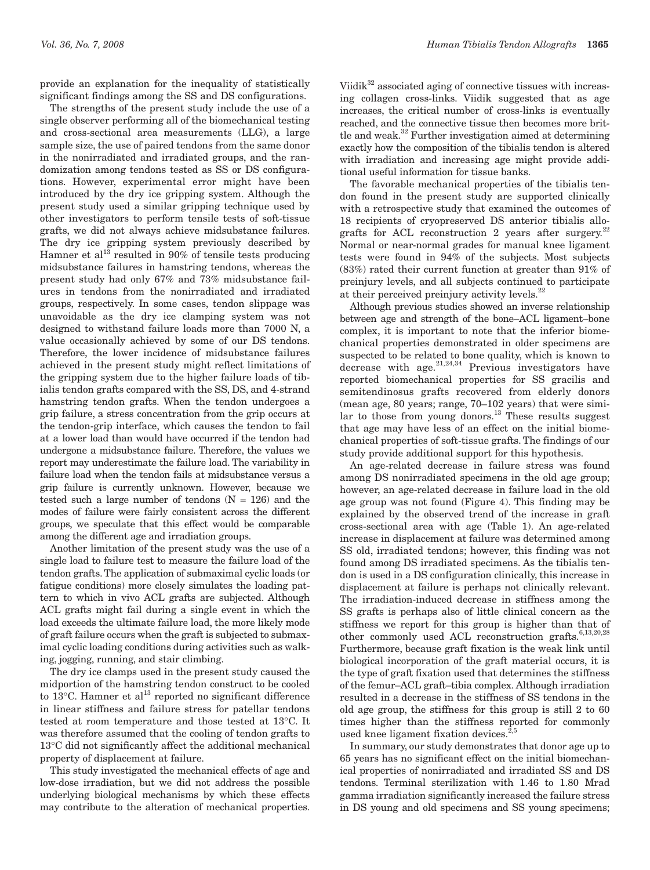provide an explanation for the inequality of statistically significant findings among the SS and DS configurations.

The strengths of the present study include the use of a single observer performing all of the biomechanical testing and cross-sectional area measurements (LLG), a large sample size, the use of paired tendons from the same donor in the nonirradiated and irradiated groups, and the randomization among tendons tested as SS or DS configurations. However, experimental error might have been introduced by the dry ice gripping system. Although the present study used a similar gripping technique used by other investigators to perform tensile tests of soft-tissue grafts, we did not always achieve midsubstance failures. The dry ice gripping system previously described by Hamner et al<sup>13</sup> resulted in 90% of tensile tests producing midsubstance failures in hamstring tendons, whereas the present study had only 67% and 73% midsubstance failures in tendons from the nonirradiated and irradiated groups, respectively. In some cases, tendon slippage was unavoidable as the dry ice clamping system was not designed to withstand failure loads more than 7000 N, a value occasionally achieved by some of our DS tendons. Therefore, the lower incidence of midsubstance failures achieved in the present study might reflect limitations of the gripping system due to the higher failure loads of tibialis tendon grafts compared with the SS, DS, and 4-strand hamstring tendon grafts. When the tendon undergoes a grip failure, a stress concentration from the grip occurs at the tendon-grip interface, which causes the tendon to fail at a lower load than would have occurred if the tendon had undergone a midsubstance failure. Therefore, the values we report may underestimate the failure load. The variability in failure load when the tendon fails at midsubstance versus a grip failure is currently unknown. However, because we tested such a large number of tendons  $(N = 126)$  and the modes of failure were fairly consistent across the different groups, we speculate that this effect would be comparable among the different age and irradiation groups.

Another limitation of the present study was the use of a single load to failure test to measure the failure load of the tendon grafts. The application of submaximal cyclic loads (or fatigue conditions) more closely simulates the loading pattern to which in vivo ACL grafts are subjected. Although ACL grafts might fail during a single event in which the load exceeds the ultimate failure load, the more likely mode of graft failure occurs when the graft is subjected to submaximal cyclic loading conditions during activities such as walking, jogging, running, and stair climbing.

The dry ice clamps used in the present study caused the midportion of the hamstring tendon construct to be cooled to 13°C. Hamner et al<sup>13</sup> reported no significant difference in linear stiffness and failure stress for patellar tendons tested at room temperature and those tested at 13°C. It was therefore assumed that the cooling of tendon grafts to 13°C did not significantly affect the additional mechanical property of displacement at failure.

This study investigated the mechanical effects of age and low-dose irradiation, but we did not address the possible underlying biological mechanisms by which these effects may contribute to the alteration of mechanical properties.

Viidik $32$  associated aging of connective tissues with increasing collagen cross-links. Viidik suggested that as age increases, the critical number of cross-links is eventually reached, and the connective tissue then becomes more brittle and weak.<sup>32</sup> Further investigation aimed at determining exactly how the composition of the tibialis tendon is altered with irradiation and increasing age might provide additional useful information for tissue banks.

The favorable mechanical properties of the tibialis tendon found in the present study are supported clinically with a retrospective study that examined the outcomes of 18 recipients of cryopreserved DS anterior tibialis allografts for ACL reconstruction 2 years after surgery.<sup>22</sup> Normal or near-normal grades for manual knee ligament tests were found in 94% of the subjects. Most subjects  $(83%)$  rated their current function at greater than 91% of preinjury levels, and all subjects continued to participate at their perceived preinjury activity levels.<sup>22</sup>

Although previous studies showed an inverse relationship between age and strength of the bone–ACL ligament–bone complex, it is important to note that the inferior biomechanical properties demonstrated in older specimens are suspected to be related to bone quality, which is known to decrease with age.  $2^{1,24,34}$  Previous investigators have reported biomechanical properties for SS gracilis and semitendinosus grafts recovered from elderly donors (mean age, 80 years; range, 70-102 years) that were similar to those from young donors.<sup>13</sup> These results suggest that age may have less of an effect on the initial biomechanical properties of soft-tissue grafts. The findings of our study provide additional support for this hypothesis.

An age-related decrease in failure stress was found among DS nonirradiated specimens in the old age group; however, an age-related decrease in failure load in the old age group was not found (Figure 4). This finding may be explained by the observed trend of the increase in graft cross-sectional area with age (Table 1). An age-related increase in displacement at failure was determined among SS old, irradiated tendons; however, this finding was not found among DS irradiated specimens. As the tibialis tendon is used in a DS configuration clinically, this increase in displacement at failure is perhaps not clinically relevant. The irradiation-induced decrease in stiffness among the SS grafts is perhaps also of little clinical concern as the stiffness we report for this group is higher than that of other commonly used ACL reconstruction grafts.<sup>6,13,20,28</sup> Furthermore, because graft fixation is the weak link until biological incorporation of the graft material occurs, it is the type of graft fixation used that determines the stiffness of the femur-ACL graft-tibia complex. Although irradiation resulted in a decrease in the stiffness of SS tendons in the old age group, the stiffness for this group is still 2 to 60 times higher than the stiffness reported for commonly used knee ligament fixation devices.<sup>2,5</sup>

In summary, our study demonstrates that donor age up to 65 years has no significant effect on the initial biomechanical properties of nonirradiated and irradiated SS and DS tendons. Terminal sterilization with 1.46 to 1.80 Mrad gamma irradiation significantly increased the failure stress in DS young and old specimens and SS young specimens;